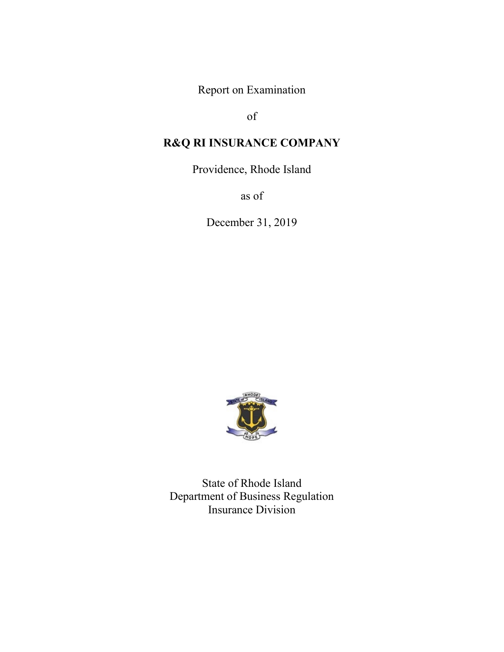Report on Examination

of

# **R&Q RI INSURANCE COMPANY**

Providence, Rhode Island

as of

December 31, 2019



State of Rhode Island Department of Business Regulation Insurance Division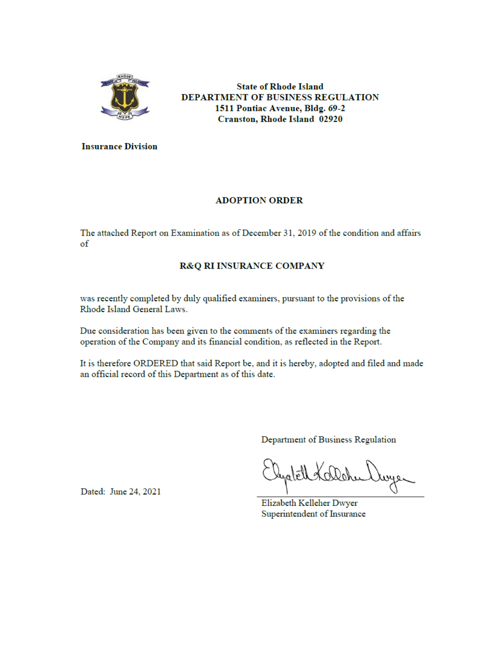

**State of Rhode Island** DEPARTMENT OF BUSINESS REGULATION 1511 Pontiac Avenue, Bldg. 69-2 **Cranston, Rhode Island 02920** 

**Insurance Division** 

## **ADOPTION ORDER**

The attached Report on Examination as of December 31, 2019 of the condition and affairs of

## R&Q RI INSURANCE COMPANY

was recently completed by duly qualified examiners, pursuant to the provisions of the Rhode Island General Laws.

Due consideration has been given to the comments of the examiners regarding the operation of the Company and its financial condition, as reflected in the Report.

It is therefore ORDERED that said Report be, and it is hereby, adopted and filed and made an official record of this Department as of this date.

Department of Business Regulation

myer

Elizabeth Kelleher Dwyer Superintendent of Insurance

Dated: June 24, 2021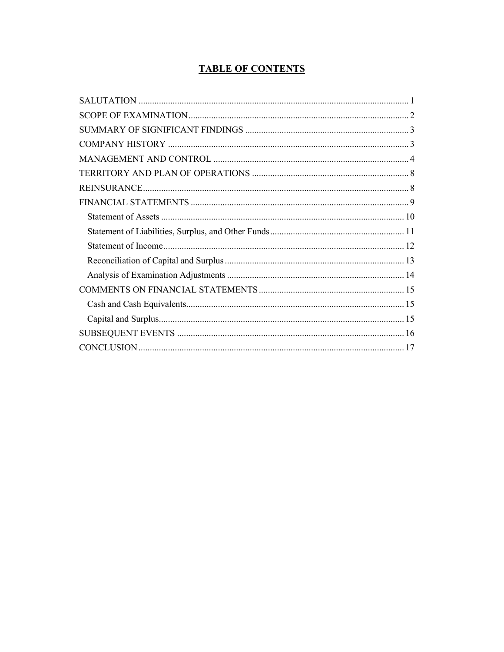## **TABLE OF CONTENTS**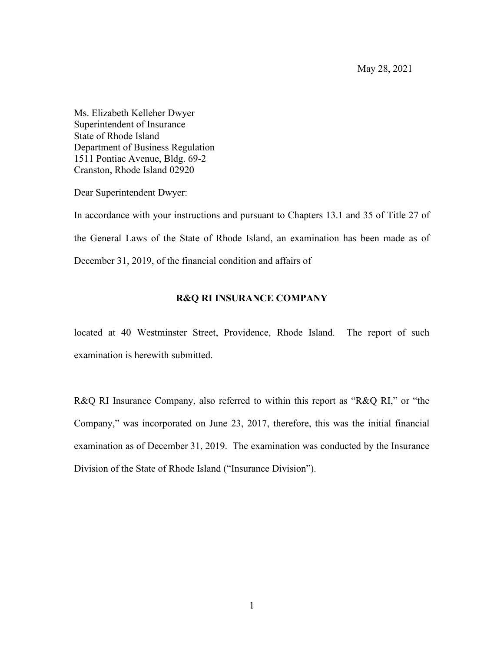May 28, 2021

<span id="page-3-0"></span>Ms. Elizabeth Kelleher Dwyer Superintendent of Insurance State of Rhode Island Department of Business Regulation 1511 Pontiac Avenue, Bldg. 69-2 Cranston, Rhode Island 02920

Dear Superintendent Dwyer:

In accordance with your instructions and pursuant to Chapters 13.1 and 35 of Title 27 of the General Laws of the State of Rhode Island, an examination has been made as of December 31, 2019, of the financial condition and affairs of

### **R&Q RI INSURANCE COMPANY**

located at 40 Westminster Street, Providence, Rhode Island. The report of such examination is herewith submitted.

R&Q RI Insurance Company, also referred to within this report as "R&Q RI," or "the Company," was incorporated on June 23, 2017, therefore, this was the initial financial examination as of December 31, 2019. The examination was conducted by the Insurance Division of the State of Rhode Island ("Insurance Division").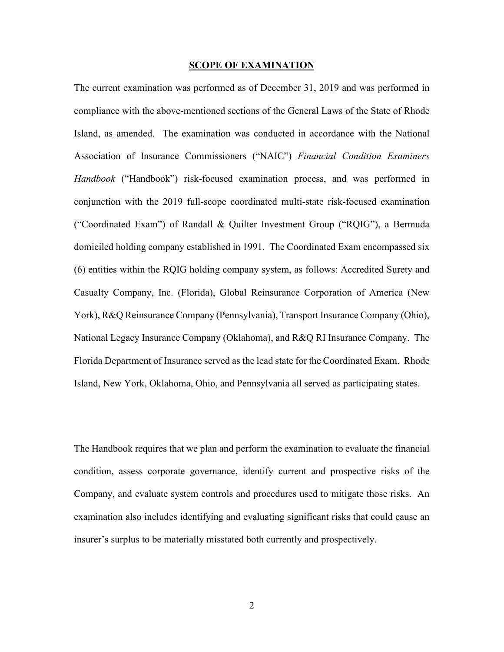#### **SCOPE OF EXAMINATION**

<span id="page-4-0"></span>The current examination was performed as of December 31, 2019 and was performed in compliance with the above-mentioned sections of the General Laws of the State of Rhode Island, as amended. The examination was conducted in accordance with the National Association of Insurance Commissioners ("NAIC") *Financial Condition Examiners Handbook* ("Handbook") risk-focused examination process, and was performed in conjunction with the 2019 full-scope coordinated multi-state risk-focused examination ("Coordinated Exam") of Randall & Quilter Investment Group ("RQIG"), a Bermuda domiciled holding company established in 1991. The Coordinated Exam encompassed six (6) entities within the RQIG holding company system, as follows: Accredited Surety and Casualty Company, Inc. (Florida), Global Reinsurance Corporation of America (New York), R&Q Reinsurance Company (Pennsylvania), Transport Insurance Company (Ohio), National Legacy Insurance Company (Oklahoma), and R&Q RI Insurance Company. The Florida Department of Insurance served as the lead state for the Coordinated Exam. Rhode Island, New York, Oklahoma, Ohio, and Pennsylvania all served as participating states.

The Handbook requires that we plan and perform the examination to evaluate the financial condition, assess corporate governance, identify current and prospective risks of the Company, and evaluate system controls and procedures used to mitigate those risks. An examination also includes identifying and evaluating significant risks that could cause an insurer's surplus to be materially misstated both currently and prospectively.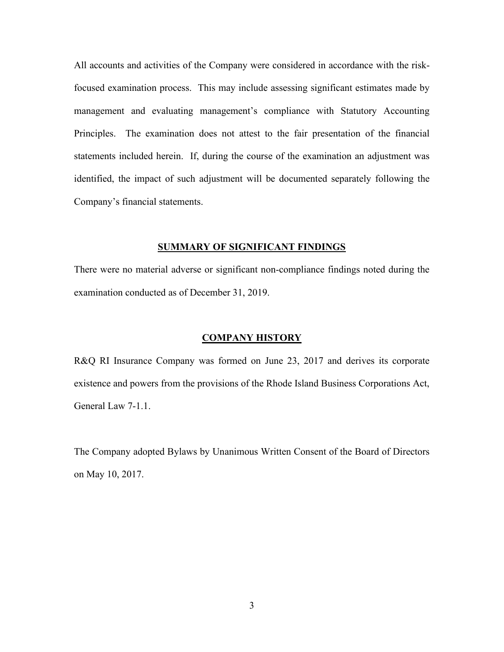All accounts and activities of the Company were considered in accordance with the riskfocused examination process. This may include assessing significant estimates made by management and evaluating management's compliance with Statutory Accounting Principles. The examination does not attest to the fair presentation of the financial statements included herein. If, during the course of the examination an adjustment was identified, the impact of such adjustment will be documented separately following the Company's financial statements.

#### **SUMMARY OF SIGNIFICANT FINDINGS**

<span id="page-5-0"></span>There were no material adverse or significant non-compliance findings noted during the examination conducted as of December 31, 2019.

#### **COMPANY HISTORY**

<span id="page-5-1"></span>R&Q RI Insurance Company was formed on June 23, 2017 and derives its corporate existence and powers from the provisions of the Rhode Island Business Corporations Act, General Law 7-1.1.

The Company adopted Bylaws by Unanimous Written Consent of the Board of Directors on May 10, 2017.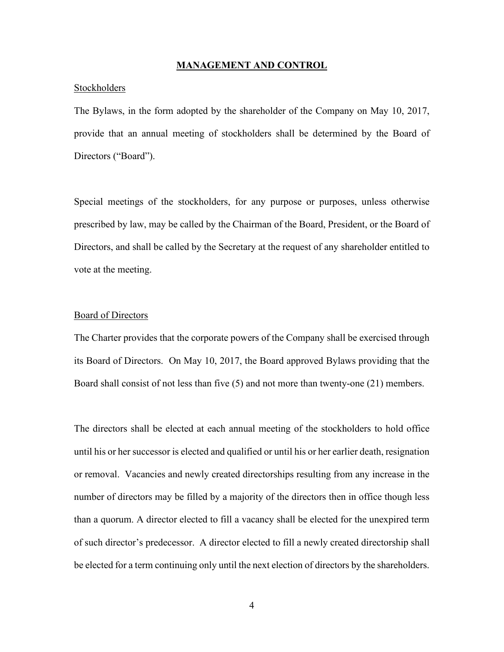#### **MANAGEMENT AND CONTROL**

#### <span id="page-6-0"></span>Stockholders

The Bylaws, in the form adopted by the shareholder of the Company on May 10, 2017, provide that an annual meeting of stockholders shall be determined by the Board of Directors ("Board").

Special meetings of the stockholders, for any purpose or purposes, unless otherwise prescribed by law, may be called by the Chairman of the Board, President, or the Board of Directors, and shall be called by the Secretary at the request of any shareholder entitled to vote at the meeting.

#### Board of Directors

The Charter provides that the corporate powers of the Company shall be exercised through its Board of Directors. On May 10, 2017, the Board approved Bylaws providing that the Board shall consist of not less than five (5) and not more than twenty-one (21) members.

The directors shall be elected at each annual meeting of the stockholders to hold office until his or her successor is elected and qualified or until his or her earlier death, resignation or removal. Vacancies and newly created directorships resulting from any increase in the number of directors may be filled by a majority of the directors then in office though less than a quorum. A director elected to fill a vacancy shall be elected for the unexpired term of such director's predecessor. A director elected to fill a newly created directorship shall be elected for a term continuing only until the next election of directors by the shareholders.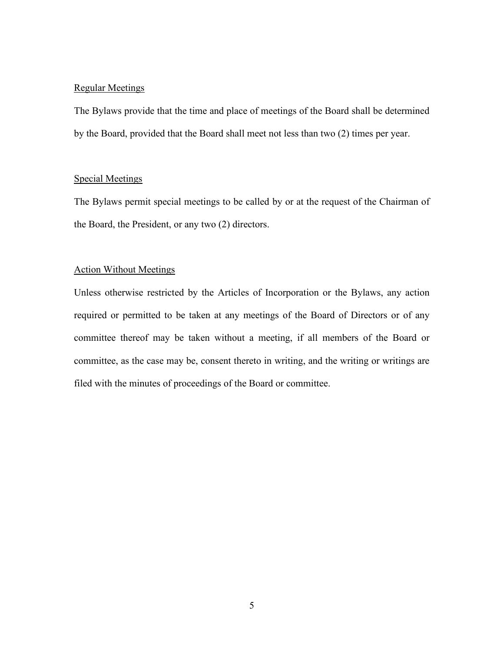## Regular Meetings

The Bylaws provide that the time and place of meetings of the Board shall be determined by the Board, provided that the Board shall meet not less than two (2) times per year.

#### Special Meetings

The Bylaws permit special meetings to be called by or at the request of the Chairman of the Board, the President, or any two (2) directors.

### Action Without Meetings

Unless otherwise restricted by the Articles of Incorporation or the Bylaws, any action required or permitted to be taken at any meetings of the Board of Directors or of any committee thereof may be taken without a meeting, if all members of the Board or committee, as the case may be, consent thereto in writing, and the writing or writings are filed with the minutes of proceedings of the Board or committee.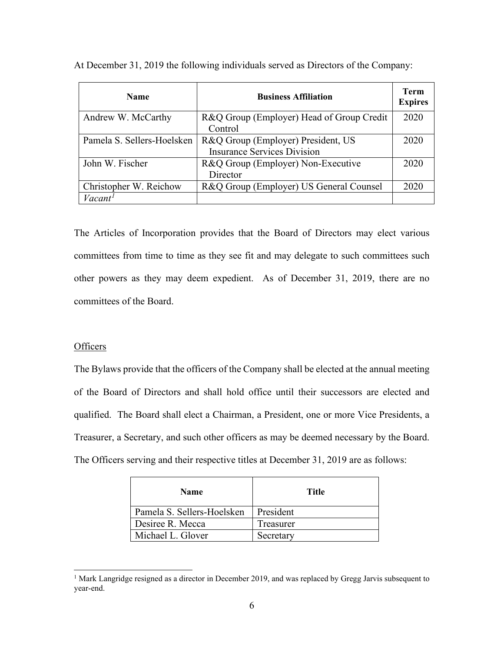| <b>Name</b>                | <b>Business Affiliation</b>               | Term<br><b>Expires</b> |
|----------------------------|-------------------------------------------|------------------------|
| Andrew W. McCarthy         | R&Q Group (Employer) Head of Group Credit | 2020                   |
|                            | Control                                   |                        |
| Pamela S. Sellers-Hoelsken | R&Q Group (Employer) President, US        | 2020                   |
|                            | <b>Insurance Services Division</b>        |                        |
| John W. Fischer            | R&Q Group (Employer) Non-Executive        | 2020                   |
|                            | Director                                  |                        |
| Christopher W. Reichow     | R&Q Group (Employer) US General Counsel   | 2020                   |
| Vacant <sup>1</sup>        |                                           |                        |

At December 31, 2019 the following individuals served as Directors of the Company:

The Articles of Incorporation provides that the Board of Directors may elect various committees from time to time as they see fit and may delegate to such committees such other powers as they may deem expedient. As of December 31, 2019, there are no committees of the Board.

### **Officers**

The Bylaws provide that the officers of the Company shall be elected at the annual meeting of the Board of Directors and shall hold office until their successors are elected and qualified. The Board shall elect a Chairman, a President, one or more Vice Presidents, a Treasurer, a Secretary, and such other officers as may be deemed necessary by the Board. The Officers serving and their respective titles at December 31, 2019 are as follows:

| <b>Name</b>                | Title     |
|----------------------------|-----------|
| Pamela S. Sellers-Hoelsken | President |
| Desiree R. Mecca           | Treasurer |
| Michael L. Glover          | Secretary |

<span id="page-8-0"></span><sup>&</sup>lt;sup>1</sup> Mark Langridge resigned as a director in December 2019, and was replaced by Gregg Jarvis subsequent to year-end.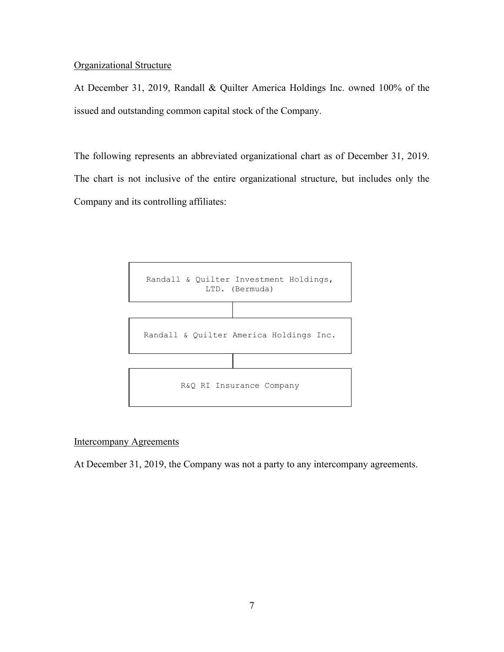## Organizational Structure

At December 31, 2019, Randall & Quilter America Holdings Inc. owned 100% of the issued and outstanding common capital stock of the Company.

The following represents an abbreviated organizational chart as of December 31, 2019. The chart is not inclusive of the entire organizational structure, but includes only the Company and its controlling affiliates:



## Intercompany Agreements

At December 31, 2019, the Company was not a party to any intercompany agreements.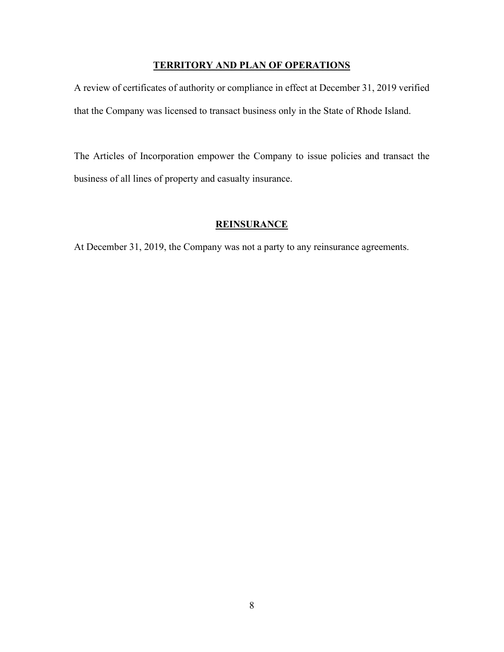## **TERRITORY AND PLAN OF OPERATIONS**

<span id="page-10-0"></span>A review of certificates of authority or compliance in effect at December 31, 2019 verified that the Company was licensed to transact business only in the State of Rhode Island.

The Articles of Incorporation empower the Company to issue policies and transact the business of all lines of property and casualty insurance.

## **REINSURANCE**

<span id="page-10-1"></span>At December 31, 2019, the Company was not a party to any reinsurance agreements.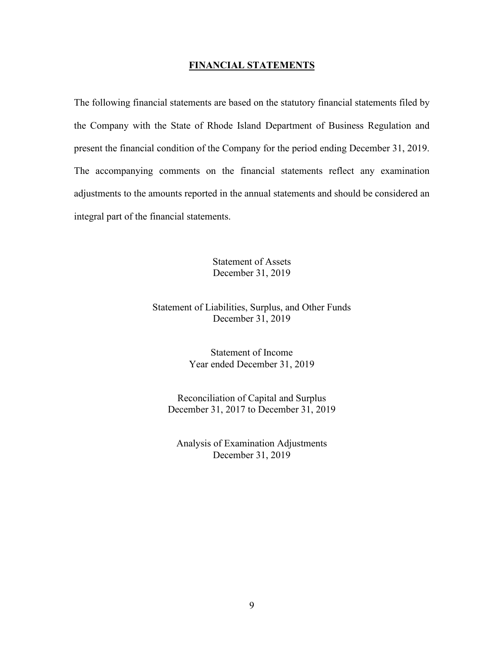#### **FINANCIAL STATEMENTS**

<span id="page-11-0"></span>The following financial statements are based on the statutory financial statements filed by the Company with the State of Rhode Island Department of Business Regulation and present the financial condition of the Company for the period ending December 31, 2019. The accompanying comments on the financial statements reflect any examination adjustments to the amounts reported in the annual statements and should be considered an integral part of the financial statements.

> Statement of Assets December 31, 2019

Statement of Liabilities, Surplus, and Other Funds December 31, 2019

> Statement of Income Year ended December 31, 2019

Reconciliation of Capital and Surplus December 31, 2017 to December 31, 2019

Analysis of Examination Adjustments December 31, 2019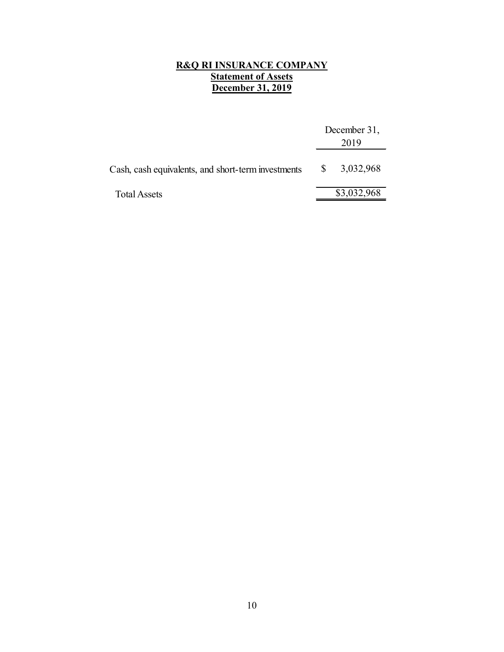#### **R&Q RI INSURANCE COMPANY Statement of Assets December 31, 2019**

<span id="page-12-0"></span>

|                                                    |              | December 31,<br>2019 |
|----------------------------------------------------|--------------|----------------------|
| Cash, cash equivalents, and short-term investments | <sup>S</sup> | 3,032,968            |
| <b>Total Assets</b>                                |              | \$3,032,968          |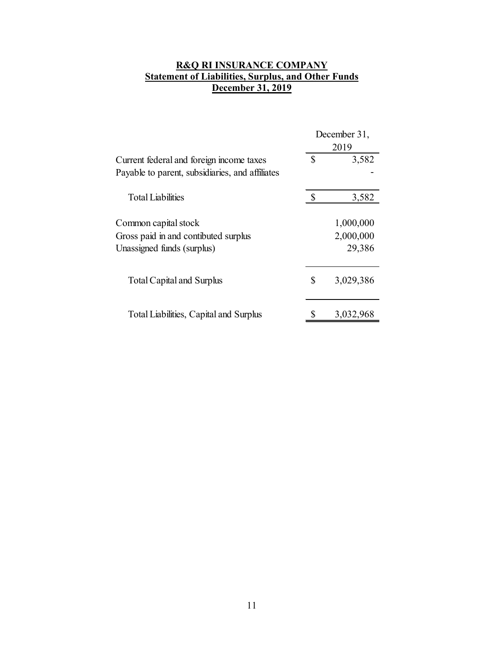## <span id="page-13-0"></span>**R&Q RI INSURANCE COMPANY Statement of Liabilities, Surplus, and Other Funds <u>December 31, 2019</u>**

|                                                 | December 31,    |  |
|-------------------------------------------------|-----------------|--|
|                                                 | 2019            |  |
| Current federal and foreign income taxes        | \$<br>3,582     |  |
| Payable to parent, subsidiaries, and affiliates |                 |  |
| <b>Total Liabilities</b>                        | \$<br>3,582     |  |
| Common capital stock                            | 1,000,000       |  |
| Gross paid in and contibuted surplus            | 2,000,000       |  |
| Unassigned funds (surplus)                      | 29,386          |  |
| Total Capital and Surplus                       | \$<br>3,029,386 |  |
| Total Liabilities, Capital and Surplus          | 3,032,968       |  |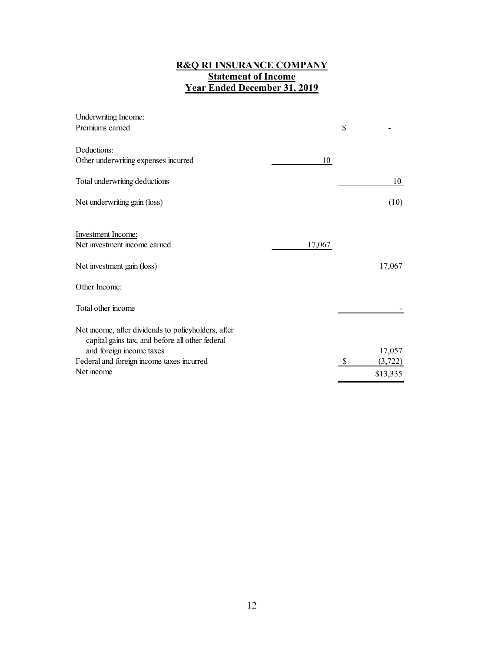#### **R&Q RI INSURANCE COMPANY Statement of Income Year Ended December 31, 2019**

<span id="page-14-0"></span>

| \$<br>Premiums earned<br>Deductions:<br>Other underwriting expenses incurred<br>10<br>Total underwriting deductions<br>10<br>Net underwriting gain (loss)<br>(10)<br><b>Investment Income:</b><br>Net investment income earned<br>17,067<br>17,067<br>Net investment gain (loss)<br>Other Income:<br>Total other income<br>Net income, after dividends to policyholders, after<br>capital gains tax, and before all other federal<br>and foreign income taxes<br>17,057<br>Federal and foreign income taxes incurred<br>(3, 722)<br>Net income<br>\$13,335 | Underwriting Income: |  |  |
|------------------------------------------------------------------------------------------------------------------------------------------------------------------------------------------------------------------------------------------------------------------------------------------------------------------------------------------------------------------------------------------------------------------------------------------------------------------------------------------------------------------------------------------------------------|----------------------|--|--|
|                                                                                                                                                                                                                                                                                                                                                                                                                                                                                                                                                            |                      |  |  |
|                                                                                                                                                                                                                                                                                                                                                                                                                                                                                                                                                            |                      |  |  |
|                                                                                                                                                                                                                                                                                                                                                                                                                                                                                                                                                            |                      |  |  |
|                                                                                                                                                                                                                                                                                                                                                                                                                                                                                                                                                            |                      |  |  |
|                                                                                                                                                                                                                                                                                                                                                                                                                                                                                                                                                            |                      |  |  |
|                                                                                                                                                                                                                                                                                                                                                                                                                                                                                                                                                            |                      |  |  |
|                                                                                                                                                                                                                                                                                                                                                                                                                                                                                                                                                            |                      |  |  |
|                                                                                                                                                                                                                                                                                                                                                                                                                                                                                                                                                            |                      |  |  |
|                                                                                                                                                                                                                                                                                                                                                                                                                                                                                                                                                            |                      |  |  |
|                                                                                                                                                                                                                                                                                                                                                                                                                                                                                                                                                            |                      |  |  |
|                                                                                                                                                                                                                                                                                                                                                                                                                                                                                                                                                            |                      |  |  |
|                                                                                                                                                                                                                                                                                                                                                                                                                                                                                                                                                            |                      |  |  |
|                                                                                                                                                                                                                                                                                                                                                                                                                                                                                                                                                            |                      |  |  |
|                                                                                                                                                                                                                                                                                                                                                                                                                                                                                                                                                            |                      |  |  |
|                                                                                                                                                                                                                                                                                                                                                                                                                                                                                                                                                            |                      |  |  |
|                                                                                                                                                                                                                                                                                                                                                                                                                                                                                                                                                            |                      |  |  |
|                                                                                                                                                                                                                                                                                                                                                                                                                                                                                                                                                            |                      |  |  |
|                                                                                                                                                                                                                                                                                                                                                                                                                                                                                                                                                            |                      |  |  |
|                                                                                                                                                                                                                                                                                                                                                                                                                                                                                                                                                            |                      |  |  |
|                                                                                                                                                                                                                                                                                                                                                                                                                                                                                                                                                            |                      |  |  |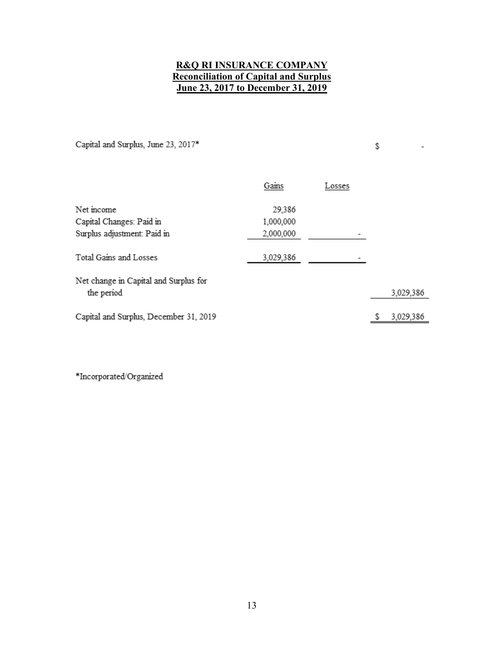## **R&Q RI INSURANCE COMPANY Reconciliation of Capital and Surplus June 23, 2017 to December 31, 2019**

<span id="page-15-0"></span>Capital and Surplus, June 23, 2017\*

\$

 $\overline{\phantom{a}}$ 

|                                                     | Gains     | Losses |           |
|-----------------------------------------------------|-----------|--------|-----------|
| Net income                                          | 29,386    |        |           |
| Capital Changes: Paid in                            | 1,000,000 |        |           |
| Surplus adjustment: Paid in                         | 2,000,000 |        |           |
| Total Gains and Losses                              | 3,029,386 |        |           |
| Net change in Capital and Surplus for<br>the period |           |        | 3,029,386 |
| Capital and Surplus, December 31, 2019              |           |        | 3,029,386 |

 $\rm *Incorporated/Organized$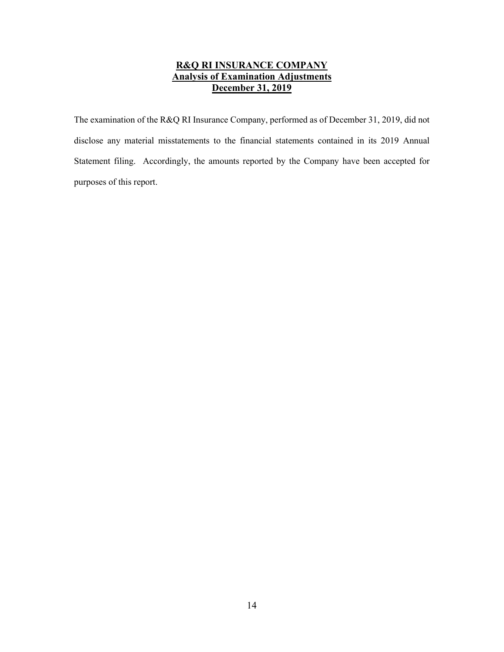## **R&Q RI INSURANCE COMPANY Analysis of Examination Adjustments December 31, 2019**

<span id="page-16-0"></span>The examination of the R&Q RI Insurance Company, performed as of December 31, 2019, did not disclose any material misstatements to the financial statements contained in its 2019 Annual Statement filing. Accordingly, the amounts reported by the Company have been accepted for purposes of this report.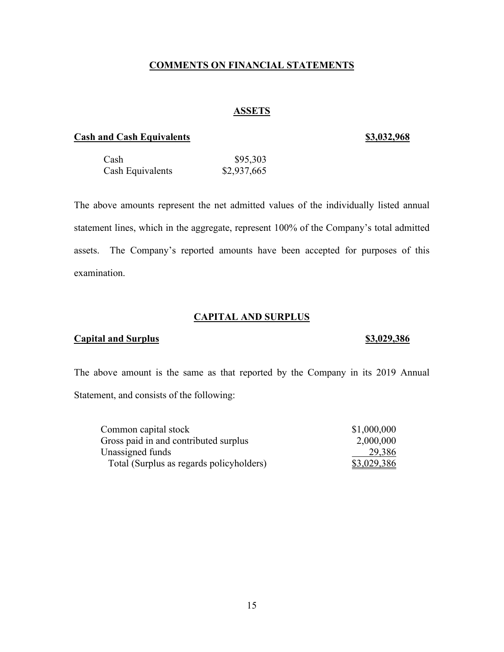### **COMMENTS ON FINANCIAL STATEMENTS**

## **ASSETS**

#### <span id="page-17-1"></span><span id="page-17-0"></span>**Cash and Cash Equivalents** \$3,032,968

| Cash             | \$95,303    |
|------------------|-------------|
| Cash Equivalents | \$2,937,665 |

The above amounts represent the net admitted values of the individually listed annual statement lines, which in the aggregate, represent 100% of the Company's total admitted assets. The Company's reported amounts have been accepted for purposes of this examination.

#### **CAPITAL AND SURPLUS**

### <span id="page-17-2"></span>**Capital and Surplus**   $\frac{$3,029,386}{2}$

The above amount is the same as that reported by the Company in its 2019 Annual Statement, and consists of the following:

| Common capital stock                     | \$1,000,000 |
|------------------------------------------|-------------|
| Gross paid in and contributed surplus    | 2,000,000   |
| Unassigned funds                         | 29,386      |
| Total (Surplus as regards policyholders) | \$3,029,386 |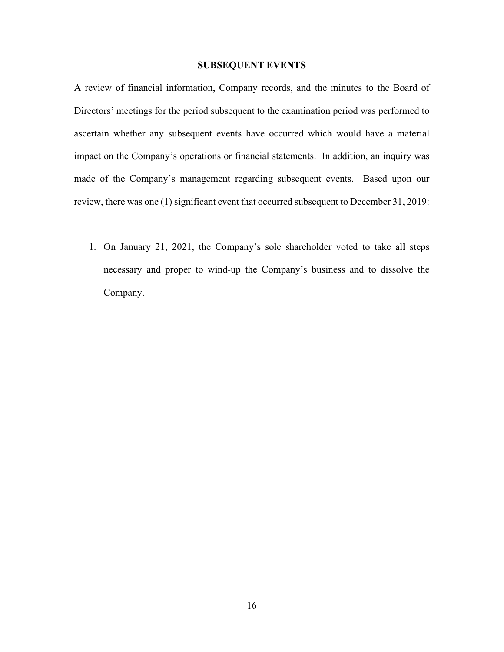#### **SUBSEQUENT EVENTS**

<span id="page-18-0"></span>A review of financial information, Company records, and the minutes to the Board of Directors' meetings for the period subsequent to the examination period was performed to ascertain whether any subsequent events have occurred which would have a material impact on the Company's operations or financial statements. In addition, an inquiry was made of the Company's management regarding subsequent events. Based upon our review, there was one (1) significant event that occurred subsequent to December 31, 2019:

1. On January 21, 2021, the Company's sole shareholder voted to take all steps necessary and proper to wind-up the Company's business and to dissolve the Company.